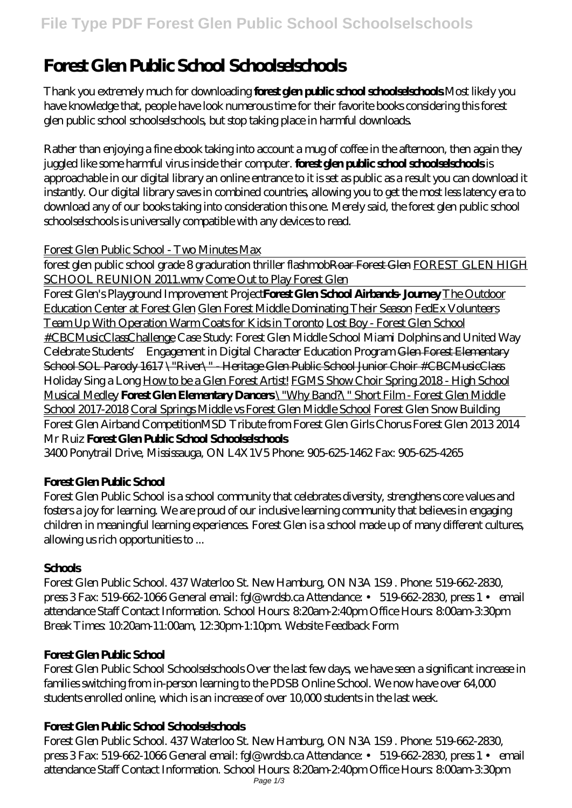# **Forest Glen Public School Schoolselschools**

Thank you extremely much for downloading **forest glen public school schoolselschools**.Most likely you have knowledge that, people have look numerous time for their favorite books considering this forest glen public school schoolselschools, but stop taking place in harmful downloads.

Rather than enjoying a fine ebook taking into account a mug of coffee in the afternoon, then again they juggled like some harmful virus inside their computer. **forest glen public school schoolselschools** is approachable in our digital library an online entrance to it is set as public as a result you can download it instantly. Our digital library saves in combined countries, allowing you to get the most less latency era to download any of our books taking into consideration this one. Merely said, the forest glen public school schoolselschools is universally compatible with any devices to read.

## Forest Glen Public School - Two Minutes Max

forest glen public school grade 8 graduration thriller flashmobRoar Forest Glen FOREST GLEN HIGH SCHOOL REUNION 2011.wmv Come Out to Play Forest Glen

Forest Glen's Playground Improvement Project**Forest Glen School Airbands- Journey** The Outdoor Education Center at Forest Glen Glen Forest Middle Dominating Their Season FedEx Volunteers Team Up With Operation Warm Coats for Kids in Toronto Lost Boy - Forest Glen School #CBCMusicClassChallenge Case Study: Forest Glen Middle School Miami Dolphins and United Way Celebrate Students' Engagement in Digital Character Education Program Glen Forest Elementary School SOL Parody 1617 \"River\" - Heritage Glen Public School Junior Choir #CBCMusicClass *Holiday Sing a Long* How to be a Glen Forest Artist! FGMS Show Choir Spring 2018 - High School Musical Medley **Forest Glen Elementary Dancers** \"Why Band?\" Short Film - Forest Glen Middle School 2017-2018 Coral Springs Middle vs Forest Glen Middle School *Forest Glen Snow Building* Forest Glen Airband Competition*MSD Tribute from Forest Glen Girls Chorus Forest Glen 2013 2014 Mr Ruiz* **Forest Glen Public School Schoolselschools**

3400 Ponytrail Drive, Mississauga, ON L4X1V5 Phone: 905-625-1462 Fax: 905-625-4265

# **Forest Glen Public School**

Forest Glen Public School is a school community that celebrates diversity, strengthens core values and fosters a joy for learning. We are proud of our inclusive learning community that believes in engaging children in meaningful learning experiences. Forest Glen is a school made up of many different cultures, allowing us rich opportunities to ...

## **Schools**

Forest Glen Public School. 437 Waterloo St. New Hamburg, ON N3A 1S9 . Phone: 519-662-2830, press 3 Fax: 519-662-1066 General email: fgl@wrdsb.ca Attendance: • 519-662-2830, press 1 • email attendance Staff Contact Information. School Hours: 8:20am-2:40pm Office Hours: 8:00am-3:30pm Break Times: 10:20am-11:00am, 12:30pm-1:10pm. Website Feedback Form

# **Forest Glen Public School**

Forest Glen Public School Schoolselschools Over the last few days, we have seen a significant increase in families switching from in-person learning to the PDSB Online School. We now have over 64,000 students enrolled online, which is an increase of over 10,000 students in the last week.

## **Forest Glen Public School Schoolselschools**

Forest Glen Public School. 437 Waterloo St. New Hamburg, ON N3A 1S9 . Phone: 519-662-2830, press 3 Fax: 519-662-1066 General email: fgl@wrdsb.ca Attendance: • 519-662-2830, press 1 • email attendance Staff Contact Information. School Hours: 8:20am-2:40pm Office Hours: 8:00am-3:30pm Page 1/3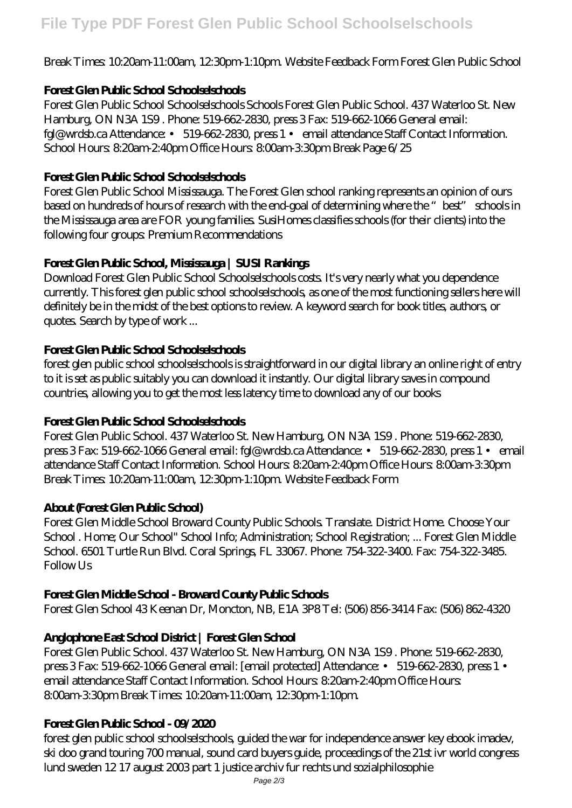## Break Times: 10:20am-11:00am, 12:30pm-1:10pm. Website Feedback Form Forest Glen Public School

### **Forest Glen Public School Schoolselschools**

Forest Glen Public School Schoolselschools Schools Forest Glen Public School. 437 Waterloo St. New Hamburg, ON N3A 1S9 . Phone: 519-662-2830, press 3 Fax: 519-662-1066 General email: fgl@wrdsb.ca Attendance: • 519-662-2830, press 1 • email attendance Staff Contact Information. School Hours: 8:20am-2:40pm Office Hours: 8:00am-3:30pm Break Page 6/25

## **Forest Glen Public School Schoolselschools**

Forest Glen Public School Mississauga. The Forest Glen school ranking represents an opinion of ours based on hundreds of hours of research with the end-goal of determining where the "best" schools in the Mississauga area are FOR young families. SusiHomes classifies schools (for their clients) into the following four groups: Premium Recommendations

## **Forest Glen Public School, Mississauga | SUSI Rankings**

Download Forest Glen Public School Schoolselschools costs. It's very nearly what you dependence currently. This forest glen public school schoolselschools, as one of the most functioning sellers here will definitely be in the midst of the best options to review. A keyword search for book titles, authors, or quotes. Search by type of work ...

#### **Forest Glen Public School Schoolselschools**

forest glen public school schoolselschools is straightforward in our digital library an online right of entry to it is set as public suitably you can download it instantly. Our digital library saves in compound countries, allowing you to get the most less latency time to download any of our books

#### **Forest Glen Public School Schoolselschools**

Forest Glen Public School. 437 Waterloo St. New Hamburg, ON N3A 1S9 . Phone: 519-662-2830, press 3 Fax: 519-662-1066 General email: fgl@wrdsb.ca Attendance: • 519-662-2830, press 1 • email attendance Staff Contact Information. School Hours: 8:20am-2:40pm Office Hours: 8:00am-3:30pm Break Times: 10:20am-11:00am, 12:30pm-1:10pm. Website Feedback Form

#### **About (Forest Glen Public School)**

Forest Glen Middle School Broward County Public Schools. Translate. District Home. Choose Your School . Home; Our School" School Info; Administration; School Registration; ... Forest Glen Middle School. 6501 Turtle Run Blvd. Coral Springs, FL 33067. Phone: 754-322-3400. Fax: 754-322-3485. Follow Us

#### **Forest Glen Middle School - Broward County Public Schools**

Forest Glen School 43 Keenan Dr, Moncton, NB, E1A 3P8 Tel: (506) 856-3414 Fax: (506) 862-4320

#### **Anglophone East School District | Forest Glen School**

Forest Glen Public School. 437 Waterloo St. New Hamburg, ON N3A 1S9 . Phone: 519-662-2830, press 3 Fax: 519-662-1066 General email: [email protected] Attendance: • 519-662-2830, press 1 • email attendance Staff Contact Information. School Hours: 8:20am-2:40pm Office Hours: 8:00am-3:30pm Break Times: 10:20am-11:00am, 12:30pm-1:10pm.

#### **Forest Glen Public School - 09/2020**

forest glen public school schoolselschools, guided the war for independence answer key ebook imadev, ski doo grand touring 700 manual, sound card buyers guide, proceedings of the 21st ivr world congress lund sweden 12 17 august 2003 part 1 justice archiv fur rechts und sozialphilosophie